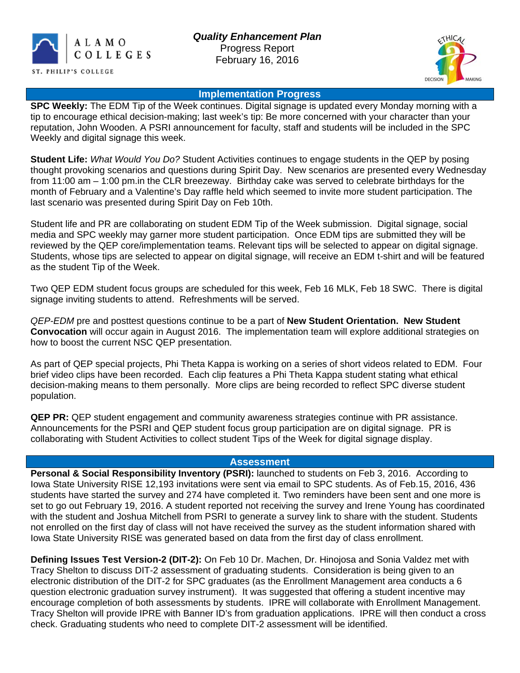



#### **Implementation Progress**

**SPC Weekly:** The EDM Tip of the Week continues. Digital signage is updated every Monday morning with a tip to encourage ethical decision-making; last week's tip: Be more concerned with your character than your reputation, John Wooden. A PSRI announcement for faculty, staff and students will be included in the SPC Weekly and digital signage this week.

**Student Life:** *What Would You Do?* Student Activities continues to engage students in the QEP by posing thought provoking scenarios and questions during Spirit Day. New scenarios are presented every Wednesday from 11:00 am – 1:00 pm.in the CLR breezeway. Birthday cake was served to celebrate birthdays for the month of February and a Valentine's Day raffle held which seemed to invite more student participation. The last scenario was presented during Spirit Day on Feb 10th.

Student life and PR are collaborating on student EDM Tip of the Week submission. Digital signage, social media and SPC weekly may garner more student participation. Once EDM tips are submitted they will be reviewed by the QEP core/implementation teams. Relevant tips will be selected to appear on digital signage. Students, whose tips are selected to appear on digital signage, will receive an EDM t-shirt and will be featured as the student Tip of the Week.

Two QEP EDM student focus groups are scheduled for this week, Feb 16 MLK, Feb 18 SWC. There is digital signage inviting students to attend. Refreshments will be served.

*QEP-EDM* pre and posttest questions continue to be a part of **New Student Orientation. New Student Convocation** will occur again in August 2016. The implementation team will explore additional strategies on how to boost the current NSC QEP presentation.

As part of QEP special projects, Phi Theta Kappa is working on a series of short videos related to EDM. Four brief video clips have been recorded. Each clip features a Phi Theta Kappa student stating what ethical decision-making means to them personally. More clips are being recorded to reflect SPC diverse student population.

**QEP PR:** QEP student engagement and community awareness strategies continue with PR assistance. Announcements for the PSRI and QEP student focus group participation are on digital signage. PR is collaborating with Student Activities to collect student Tips of the Week for digital signage display.

#### **Assessment**

**Personal & Social Responsibility Inventory (PSRI):** launched to students on Feb 3, 2016. According to Iowa State University RISE 12,193 invitations were sent via email to SPC students. As of Feb.15, 2016, 436 students have started the survey and 274 have completed it. Two reminders have been sent and one more is set to go out February 19, 2016. A student reported not receiving the survey and Irene Young has coordinated with the student and Joshua Mitchell from PSRI to generate a survey link to share with the student. Students not enrolled on the first day of class will not have received the survey as the student information shared with Iowa State University RISE was generated based on data from the first day of class enrollment.

**Defining Issues Test Version-2 (DIT-2):** On Feb 10 Dr. Machen, Dr. Hinojosa and Sonia Valdez met with Tracy Shelton to discuss DIT-2 assessment of graduating students. Consideration is being given to an electronic distribution of the DIT-2 for SPC graduates (as the Enrollment Management area conducts a 6 question electronic graduation survey instrument). It was suggested that offering a student incentive may encourage completion of both assessments by students. IPRE will collaborate with Enrollment Management. Tracy Shelton will provide IPRE with Banner ID's from graduation applications. IPRE will then conduct a cross check. Graduating students who need to complete DIT-2 assessment will be identified.